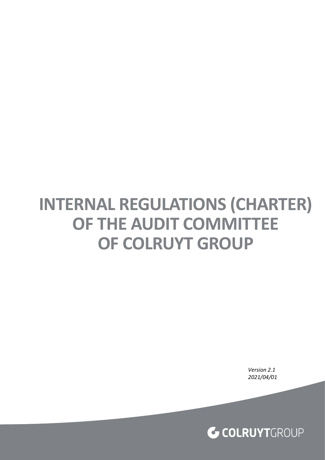# **INTERNAL REGULATIONS (CHARTER) OF THE AUDIT COMMITTEE OF COLRUYT GROUP**

*Version 2.1 2021/04/01*

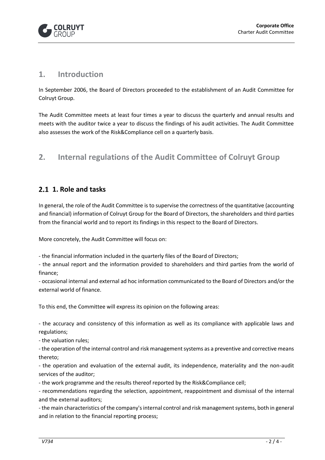

#### **1. Introduction**

In September 2006, the Board of Directors proceeded to the establishment of an Audit Committee for Colruyt Group.

The Audit Committee meets at least four times a year to discuss the quarterly and annual results and meets with the auditor twice a year to discuss the findings of his audit activities. The Audit Committee also assesses the work of the Risk&Compliance cell on a quarterly basis.

## **2. Internal regulations of the Audit Committee of Colruyt Group**

#### **1. Role and tasks**

In general, the role of the Audit Committee is to supervise the correctness of the quantitative (accounting and financial) information of Colruyt Group for the Board of Directors, the shareholders and third parties from the financial world and to report its findings in this respect to the Board of Directors.

More concretely, the Audit Committee will focus on:

- the financial information included in the quarterly files of the Board of Directors;

- the annual report and the information provided to shareholders and third parties from the world of finance;

- occasional internal and external ad hoc information communicated to the Board of Directors and/or the external world of finance.

To this end, the Committee will express its opinion on the following areas:

- the accuracy and consistency of this information as well as its compliance with applicable laws and regulations;

- the valuation rules;

- the operation of the internal control and risk management systems as a preventive and corrective means thereto;

- the operation and evaluation of the external audit, its independence, materiality and the non-audit services of the auditor;

- the work programme and the results thereof reported by the Risk&Compliance cell;

- recommendations regarding the selection, appointment, reappointment and dismissal of the internal and the external auditors;

- the main characteristics of the company's internal control and risk management systems, both in general and in relation to the financial reporting process;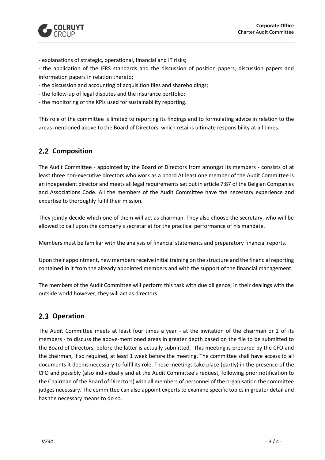

- explanations of strategic, operational, financial and IT risks;

- the application of the IFRS standards and the discussion of position papers, discussion papers and information papers in relation thereto;

- the discussion and accounting of acquisition files and shareholdings;
- the follow-up of legal disputes and the insurance portfolio;
- the monitoring of the KPIs used for sustainability reporting.

This role of the committee is limited to reporting its findings and to formulating advice in relation to the areas mentioned above to the Board of Directors, which retains ultimate responsibility at all times.

## **2.2 Composition**

The Audit Committee - appointed by the Board of Directors from amongst its members - consists of at least three non-executive directors who work as a board At least one member of the Audit Committee is an independent director and meets all legal requirements set out in article 7:87 of the Belgian Companies and Associations Code. All the members of the Audit Committee have the necessary experience and expertise to thoroughly fulfil their mission.

They jointly decide which one of them will act as chairman. They also choose the secretary, who will be allowed to call upon the company's secretariat for the practical performance of his mandate.

Members must be familiar with the analysis of financial statements and preparatory financial reports.

Upon their appointment, new members receive initial training on the structure and the financial reporting contained in it from the already appointed members and with the support of the financial management.

The members of the Audit Committee will perform this task with due diligence; in their dealings with the outside world however, they will act as directors.

## 2.3 Operation

The Audit Committee meets at least four times a year - at the invitation of the chairman or 2 of its members - to discuss the above-mentioned areas in greater depth based on the file to be submitted to the Board of Directors, before the latter is actually submitted. This meeting is prepared by the CFO and the chairman, if so required, at least 1 week before the meeting. The committee shall have access to all documents it deems necessary to fulfil its role. These meetings take place (partly) in the presence of the CFO and possibly (also individually and at the Audit Committee's request, following prior notification to the Chairman of the Board of Directors) with all members of personnel of the organisation the committee judges necessary. The committee can also appoint experts to examine specific topics in greater detail and has the necessary means to do so.